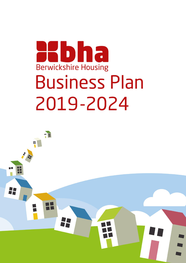# Hbha **Berwickshire Housing Business Plan** 2019-2024

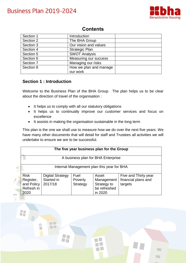

 $\mathbb{Z}$  of

| Section 1 | Introduction           |  |
|-----------|------------------------|--|
| Section 2 | The BHA Group          |  |
| Section 3 | Our vision and values  |  |
| Section 4 | <b>Strategic Plan</b>  |  |
| Section 5 | <b>SWOT Analysis</b>   |  |
| Section 6 | Measuring our success  |  |
| Section 7 | Managing our risks     |  |
| Section 8 | How we plan and manage |  |
|           | our work               |  |

## **Section 1 : Introduction**

Busines an gmeeting october

H

Welcome to the Business Plan of the BHA Group. The plan helps us to be clear about the direction of travel of the organisation :

- It helps us to comply with all our statutory obligations
- It helps us to continually improve our customer services and focus on excellence
- It assists in making the organisation sustainable in the long term

This plan is the one we shall use to measure how we do over the next five years. We have many other documents that will detail for staff and Trustees all activities we will undertake to ensure we are to be successful.

|                                                              |                                                  |                             | The five year business plan for the Group                     |                                                        |
|--------------------------------------------------------------|--------------------------------------------------|-----------------------------|---------------------------------------------------------------|--------------------------------------------------------|
|                                                              |                                                  |                             | A business plan for BHA Enterprise                            |                                                        |
|                                                              |                                                  |                             | Internal Management plan this year for BHA                    |                                                        |
| <b>Risk</b><br>Register,<br>and Policy<br>Refresh in<br>2020 | <b>Digital Strategy</b><br>Started in<br>2017/18 | Fuel<br>Poverty<br>Strategy | Asset<br>Management<br>Strategy to<br>be refreshed<br>in 2020 | Five and Thirty year<br>financial plans and<br>targets |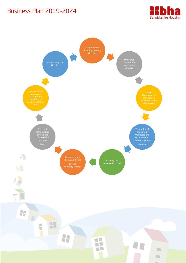

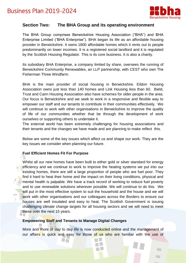

## **Section Two: The BHA Group and its operating environment**

The BHA Group comprises Berwickshire Housing Association ("BHA") and BHA Enterprise Limited ("BHA Enterprise"). BHA began its life as an affordable housing provider in Berwickshire. It owns 1800 affordable homes which it rents out to people predominantly on lower incomes. It is a registered social landlord and it is regulated by the Scottish Housing Regulator. This is its core business. It is also a charity.

Its subsidiary BHA Enterprise, a company limited by share, oversees the running of Berwickshire Community Renewables, an LLP partnership, with CEST who own The Fisherman Three Windfarm.

BHA is the main provider of social housing in Berwickshire. Eildon Housing Association owns just less than 140 homes and Link Housing less than 60. Bield, Trust and Cairn Housing Association also have schemes for older people in the area. Our focus is Berwickshire and we seek to work in a responsive and flexible way to empower our staff and our tenants to contribute in their communities effectively. We will continue to work with other organisations in Berwickshire to improve the quality of life of our communities whether that be through the development of work ourselves or supporting others to undertake it.

The external world has been extremely challenging for housing associations and their tenants and the changes we have made and are planning to make reflect this.

Below are some of the key issues which affect us and shape our work. They are the key issues we consider when planning our future.

#### **Fuel Efficient Homes Fit For Purpose**

Whilst all our new homes have been built to either gold or silver standard for energy efficiency and we continue to work to improve the heating systems we put into our existing homes, there are still a large proportion of people who are fuel poor. They find it hard to heat their home and the impact on their living conditions, physical and mental health is palpable. We have a track record of working to reduce fuel poverty and to use renewable solutions wherever possible. We will continue to do this. We will put in the most effective system to suit the household and the house and we will work with other organisations and our colleagues across the Borders to ensure our houses are well insulated and easy to heat. The Scottish Government is issuing challenging climate change targets for all housing sectors and we will need to meet these over the next 15 years.

#### **Empowering Staff and Tenants to Manage Digital Changes**

More and more of day to day life is now conducted online and the management of our affairs is quick and easy for those of us who are familiar with the use of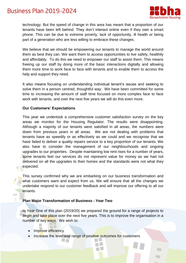

technology. But the speed of change in this area has meant that a proportion of our tenants have been left behind. They don't interact online even if they own a smart phone. This can be due to extreme poverty, lack of opportunity, ill health or being part of a generation who are less willing to embrace these changes.

We believe that we should be empowering our tenants to manage the world around them as best they can. We want them to access opportunities to live safely, healthily and affordably. To do this we need to empower our staff to assist them. This means freeing up our staff by doing more of the basic interactions digitally and allowing them more time to work face to face with tenants and to enable them to access the help and support they need.

It also means focusing on understanding individual tenant's issues and seeking to solve them in a person centred, thoughtful way. We have been committed for some time to increasing the amount of staff time focused on more complex face to face work with tenants, and over the next five years we will do this even more.

#### **Our Customers' Expectations**

This year we undertook a comprehensive customer satisfaction survey on the key areas we monitor for the Housing Regulator. The results were disappointing. Although a majority of our tenants were satisfied in all areas, the numbers were down from previous years in all areas. We are not dealing with problems that tenants have as speedily or as effectively as we could and we recognise that we have failed to deliver a quality repairs service to a key proportion of our tenants. We also have to consider the management of our neighbourhoods and ongoing upgrades to our properties. Despite maintaining low rent rises for a number of years, some tenants feel our services do not represent value for money as we had not delivered on all the upgrades to their homes and the standards were not what they expected.

This survey confirmed why we are embarking on our business transformation and what customers want and expect from us. We will ensure that all the changes we undertake respond to our customer feedback and will improve our offering to all our tenants.

#### **Plan Major Transformation of Business - Year Two**

In Year One of this plan (2019/20) we prepared the ground for a range of projects to begin and take place over the next five years. This is to improve the organisation in a number of key ways. We wish to:

- Improve efficiency
- Increase the level and range of positive outcomes for customers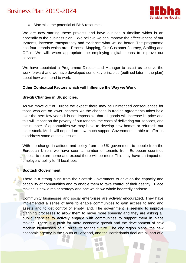

Maximise the potential of BHA resources.

We are now starting these projects and have outlined a timeline which is an appendix to the business plan. We believe we can improve the effectiveness of our systems, increase transparency and evidence what we do better. The programme has four strands which are: Process Mapping, Our Customer Journey, Staffing and Office. We will, when appropriate, be employing digital means to improve our services.

We have appointed a Programme Director and Manager to assist us to drive the work forward and we have developed some key principles (outlined later in the plan) about how we intend to work.

#### **Other Contextual Factors which will Influence the Way we Work**

#### **Brexit/ Changes in UK policies.**

As we move out of Europe we expect there may be unintended consequences for those who are on lower incomes. As the changes in trading agreements takes hold over the next few years it is not impossible that all goods will increase in price and this will impact on the poverty of our tenants, the costs of delivering our services, and the number of opportunities we may have to develop new homes or refurbish our older stock. Much will depend on how much support Government is able to offer us to address some of these issues.

With the change in attitude and policy from the UK government to people from the European Union, we have seen a number of tenants from European countries choose to return home and expect there will be more. This may have an impact on employers' ability to fill local jobs.

#### **Scottish Government**

训训

There is a strong push from the Scottish Government to develop the capacity and capability of communities and to enable them to take control of their destiny. Place making is now a major strategy and one which we whole heartedly endorse.

Community businesses and social enterprises are actively encouraged. They have implemented a series of laws to enable communities to gain access to land and assets and to get control of empty land. The government is seeking to improve planning processes to allow them to move more speedily and they are asking all public agencies to actively engage with communities to support them in place making. There is a push for more economic growth and the development of new modern businesses of all sizes, fit for the future. The city region plans, the new economic agency in the South of Scotland, and the Borderlands deal are all part of a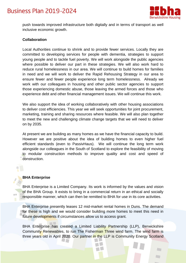

push towards improved infrastructure both digitally and in terms of transport as well inclusive economic growth.

#### **Collaboration**

Local Authorities continue to shrink and to provide fewer services. Locally they are committed to developing services for people with dementia, strategies to support young people and to tackle fuel poverty. We will work alongside the public agencies where possible to deliver our part in these strategies. We will also work hard to reduce rural homelessness in our area. We will continue to build homes for families in need and we will work to deliver the Rapid Rehousing Strategy in our area to ensure fewer and fewer people experience long term homelessness. Already we work with our colleagues in housing and other public sector agencies to support those experiencing domestic abuse, those leaving the armed forces and those who experience debt and other financial management issues. We will continue this work.

We also support the idea of working collaboratively with other housing associations to deliver cost efficiencies. This year we will seek opportunities for joint procurement, marketing, training and sharing resources where feasible. We will also plan together to meet the new and challenging climate change targets that we will need to deliver on by 2035.

At present we are building as many homes as we have the financial capacity to build. However we are positive about the idea of building homes to even higher fuel efficient standards (even to PassivHaus). We will continue the long term work alongside our colleagues in the South of Scotland to explore the feasibility of moving to modular construction methods to improve quality and cost and speed of construction.

#### **BHA Enterprise**

BHA Enterprise is a Limited Company. Its work is informed by the values and vision of the BHA Group. It exists to bring in a commercial return in an ethical and socially responsible manner, which can then be remitted to BHA for use in its core activities.

BHA Enterprise presently leases 12 mid-market rental homes in Duns. The demand for these is high and we would consider building more homes to meet this need in future developments if circumstances allow us to access grant.

BHA Enterprise has created a Limited Liability Partnership (LLP), Berwickshire Community Renewables, to run The Fisherman Three wind farm. The wind farm is three years old in April 2020. Our partner in the LLP is Community Energy Scotland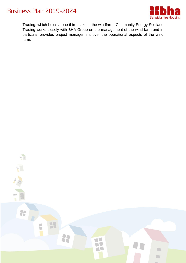



Trading, which holds a one third stake in the windfarm. Community Energy Scotland Trading works closely with BHA Group on the management of the wind farm and in particular provides project management over the operational aspects of the wind farm.

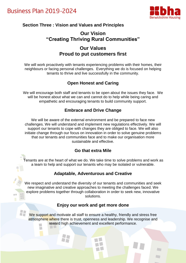22



## **Section Three : Vision and Values and Principles**

# **Our Vision "Creating Thriving Rural Communities" Our Values**

## **Proud to put customers first**

We will work proactively with tenants experiencing problems with their homes, their neighbours or facing personal challenges. Everything we do is focused on helping tenants to thrive and live successfully in the community.

## **Open Honest and Caring**

We will encourage both staff and tenants to be open about the issues they face. We will be honest about what we can and cannot do to help while being caring and empathetic and encouraging tenants to build community support.

## **Embrace and Drive Change**

We will be aware of the external environment and be prepared to face new challenges. We will understand and implement new regulations effectively. We will support our tenants to cope with changes they are obliged to face. We will also initiate change through our focus on innovation in order to solve genuine problems that our tenants and communities face and to make our organisation more sustainable and effective.

## **Go that extra Mile**

Tenants are at the heart of what we do. We take time to solve problems and work as a team to help and support our tenants who may be isolated or vulnerable.

## **Adaptable, Adventurous and Creative**

We respect and understand the diversity of our tenants and communities and seek new imaginative and creative approaches to meeting the challenges faced. We explore problems together through collaboration in order to seek new, innovative solutions.

## **Enjoy our work and get more done**

We support and motivate all staff to ensure a healthy, friendly and stress free atmosphere where there is trust, openness and leadership. We recognise and reward high achievement and excellent performance.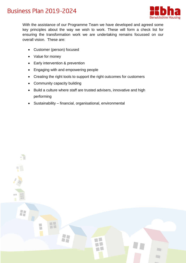



With the assistance of our Programme Team we have developed and agreed some key principles about the way we wish to work. These will form a check list for ensuring the transformation work we are undertaking remains focussed on our overall vision. These are:

- Customer (person) focused
- Value for money
- Early intervention & prevention
- Engaging with and empowering people
- Creating the right tools to support the right outcomes for customers
- Community capacity building
- Build a culture where staff are trusted advisers, innovative and high performing
- Sustainability financial, organisational, environmental

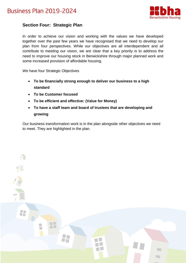



## **Section Four: Strategic Plan**

In order to achieve our vision and working with the values we have developed together over the past few years we have recognised that we need to develop our plan from four perspectives. While our objectives are all interdependent and all contribute to meeting our vision, we are clear that a key priority is to address the need to improve our housing stock in Berwickshire through major planned work and some increased provision of affordable housing.

We have four Strategic Objectives

- **To be financially strong enough to deliver our business to a high standard**
- **To be Customer focused**
- **To be efficient and effective: (Value for Money)**
- **To have a staff team and board of trustees that are developing and growing**

Our business transformation work is in the plan alongside other objectives we need to meet. They are highlighted in the plan.

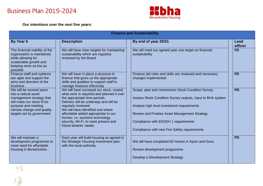

**Our intentions over the next five years:**

| <b>Finance and Sustainability</b>                                                                                                                                                             |                                                                                                                                                                                                                                                                                                                                                                        |                                                                                                                                                                                                                                                                                                        |                 |
|-----------------------------------------------------------------------------------------------------------------------------------------------------------------------------------------------|------------------------------------------------------------------------------------------------------------------------------------------------------------------------------------------------------------------------------------------------------------------------------------------------------------------------------------------------------------------------|--------------------------------------------------------------------------------------------------------------------------------------------------------------------------------------------------------------------------------------------------------------------------------------------------------|-----------------|
| By Year 5                                                                                                                                                                                     | <b>Description</b>                                                                                                                                                                                                                                                                                                                                                     | By end of year 20/21                                                                                                                                                                                                                                                                                   | Lead<br>officer |
| The financial viability of the<br>organisation is maintained<br>while allowing for<br>sustainable growth and<br>keeping rents as low as<br>possible                                           | We will have clear targets for maintaining<br>sustainability which are regularly<br>reviewed by the Board                                                                                                                                                                                                                                                              | We will meet our agreed year one target on financial<br>sustainability                                                                                                                                                                                                                                 | <b>FD</b>       |
| Finance staff and systems<br>are agile and support the<br>aims and direction of the<br>business                                                                                               | We will have in place a structure in<br>finance that gives us the appropriate<br>skills and qualities to support staff to<br>manage finances effectively                                                                                                                                                                                                               | Finance job roles and skills are reviewed and necessary<br>changes implemented                                                                                                                                                                                                                         | <b>FD</b>       |
| We will be several years<br>into a radical asset<br>management strategy that<br>will make our stock fit for<br>purpose and meeting<br>climate change and quality<br>targets set by government | We will have surveyed our stock, costed<br>what work is required and planned it over<br>the appropriate time periods.<br>Delivery will be underway and will be<br>regularly reviewed<br>We will have identified and where<br>affordable added appropriate to our<br>homes: i.e. assistive technology,<br>security, Wi-Fi, to meet present and<br>future tenants' needs | Scope, plan and commission Stock Condition Survey<br>Assess Stock Condition Survey outputs, input to BHA system<br>Analyse high level investment requirements<br>Review and Finalise Asset Management Strategy<br>Compliance with EESSH 1 requirements<br>Compliance with new Fire Safety requirements | <b>PD</b>       |
| We will maintain a<br>development programme to<br>meet need for affordable<br>housing in Berwickshire                                                                                         | Each year will build housing as agreed in<br>the Strategic Housing Investment plan<br>with the local authority                                                                                                                                                                                                                                                         | We will have completed 60 homes in Ayton and Duns.<br>Review development programme<br>Develop a Development Strategy                                                                                                                                                                                   | <b>PD</b>       |

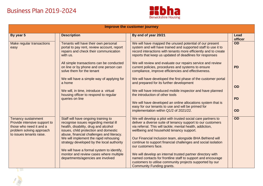

| <b>Improve the customer journey</b>                                                                                                           |                                                                                                                                                                                                                                                     |                                                                                                                                                                                                                                                                                                   |                 |
|-----------------------------------------------------------------------------------------------------------------------------------------------|-----------------------------------------------------------------------------------------------------------------------------------------------------------------------------------------------------------------------------------------------------|---------------------------------------------------------------------------------------------------------------------------------------------------------------------------------------------------------------------------------------------------------------------------------------------------|-----------------|
| By year 5                                                                                                                                     | <b>Description</b>                                                                                                                                                                                                                                  | By end of year 20/21                                                                                                                                                                                                                                                                              | Lead<br>officer |
| <b>Make regular transactions</b><br>easy                                                                                                      | Tenants will have their own personal<br>portal to pay rent, review account, report<br>repairs and check their communication<br>with us.                                                                                                             | We will have mapped the unused potential of our present<br>system and will have trained and supported staff to use it to<br>record interactions with tenants more efficiently and to create<br>reports that keep us updated of deadlines for responses                                            | <b>OD</b>       |
|                                                                                                                                               | All simple transactions can be conducted<br>on line or by phone and one person can<br>solve them for the tenant                                                                                                                                     | We will review and evaluate our repairs service and review<br>current policies, procedures and systems to ensure<br>compliance, improve efficiencies and effectiveness.                                                                                                                           | <b>PD</b>       |
|                                                                                                                                               | We will have a simple way of applying for<br>a home                                                                                                                                                                                                 | We will have developed the first phase of the customer portal<br>and prepared for its further development                                                                                                                                                                                         | <b>OD</b>       |
|                                                                                                                                               | We will, in time, introduce a virtual<br>housing officer to respond to regular                                                                                                                                                                      | We will have introduced mobile inspector and have planned<br>the introduction of other tools                                                                                                                                                                                                      |                 |
|                                                                                                                                               | queries on line                                                                                                                                                                                                                                     | We will have developed an online allocations system that is<br>easy for our tenants to use and will be primed for                                                                                                                                                                                 | <b>PD</b>       |
|                                                                                                                                               |                                                                                                                                                                                                                                                     | implementation within Q1/2 of 2021/22.                                                                                                                                                                                                                                                            | <b>OD</b>       |
| <b>Tenancy sustainment</b><br>Provide intensive support to<br>those who need it and a<br>problem solving approach<br>to issues tenants raise. | Staff will have ongoing training to<br>recognise issues regarding mental ill<br>health, disability, drug and alcohol<br>issues, child protection and domestic<br>abuse, financial challenges and literacy.<br>We will implement the rapid rehousing | We will develop a pilot with trusted social care partners to<br>deliver a diverse suite of tenancy support to our customers<br>via referral. This will tackle; mental health, addiction,<br>wellbeing and household tenancy support.<br>Our Financial Inclusion team, alongside BHA Befriend will | OD              |
|                                                                                                                                               | strategy developed by the local authority                                                                                                                                                                                                           | continue to support financial challenges and social isolation<br>our customers face.                                                                                                                                                                                                              |                 |
|                                                                                                                                               | We will have a formal system to identify,<br>monitor and review cases where multiple<br>departments/agencies are involved                                                                                                                           | We will develop an internal trusted partner directory with<br>named contacts for frontline staff to support and encourage<br>customers to utilise community projects supported by our                                                                                                             |                 |
|                                                                                                                                               |                                                                                                                                                                                                                                                     | <b>Community Funding grants.</b>                                                                                                                                                                                                                                                                  |                 |

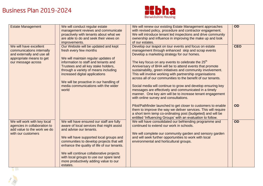

| <b>Estate Management</b>                                                                                                            | We will conduct regular estate<br>management reviews and communicate<br>proactively with tenants about what we<br>are able to do and seek their views on<br>improvements.                                                                                                                                                                                                                          | We will renew our existing Estate Management approaches<br>with revised policy, procedure and contractor engagement.<br>We will introduce tenant led inspections and drive community<br>ownership and influence in improving the make up and look<br>of our estates.                                                                                                                                                                                                                                                                                                                                                                                                                                             | <b>OD</b>  |
|-------------------------------------------------------------------------------------------------------------------------------------|----------------------------------------------------------------------------------------------------------------------------------------------------------------------------------------------------------------------------------------------------------------------------------------------------------------------------------------------------------------------------------------------------|------------------------------------------------------------------------------------------------------------------------------------------------------------------------------------------------------------------------------------------------------------------------------------------------------------------------------------------------------------------------------------------------------------------------------------------------------------------------------------------------------------------------------------------------------------------------------------------------------------------------------------------------------------------------------------------------------------------|------------|
| We will have excellent<br>communications internally<br>and externally and use all<br>appropriate means to get<br>our message across | Our Website will be updated and kept<br>fresh every few months<br>We will maintain regular updates of<br>information to staff and tenants and<br>Trustees and all key stake holders,<br>through a variety of means including<br>increased digital applications<br>We will be proactive in our handling of<br>media communications with the wider<br>world                                          | Develop our teapot on tour events and focus on estate<br>management through enhanced skip and scrap events<br>Develop a marketing strategy for our homes.<br>The key focus on any events to celebrate the 25 <sup>th</sup><br>Anniversary of BHA will be to attend events that promote<br>sustainability, green initiatives and community involvement.<br>This will involve working with partnership organisations<br>across all of our communities to the benefit of our tenants.<br>Social media will continue to grow and develop ensuring key<br>messages are effectively and communicated in a timely<br>manner. One key aim will be to increase tenant engagement<br>with online survey and consultations. | <b>CEO</b> |
|                                                                                                                                     |                                                                                                                                                                                                                                                                                                                                                                                                    | Pilot/Pathfinder launched to get closer to customers to enable<br>them to improve the way we deliver services. This will require<br>a short term temp co-ordinating post (budgeted) and will be<br>entitled 'Influencing Groups' with an evaluation to follow.                                                                                                                                                                                                                                                                                                                                                                                                                                                   | <b>OD</b>  |
| We will work with key local<br>agencies in collaboration to<br>add value to the work we do<br>with our customers                    | We will have ensured our staff are fully<br>aware of local services that might assist<br>and advise our tenants.<br>We will have supported local groups and<br>communities to develop projects that will<br>enhance the quality of life of our tenants.<br>We will continue collaborative projects<br>with local groups to use our spare land<br>more productively adding value to our<br>estates. | We will have consolidated our befriending programme and<br>continued to extend our work in schools.<br>We will complete our community garden and sensory garden<br>and will seek further opportunities to work with local<br>environmental and horticultural groups.                                                                                                                                                                                                                                                                                                                                                                                                                                             | <b>OD</b>  |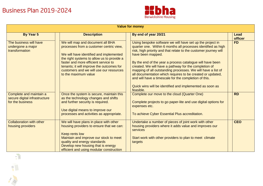

| <b>Value for money</b>                                                       |                                                                                                                                                                                                                                                                                                                              |                                                                                                                                                                                                                                                                                                                                                                                                                                                                                                                                                                                                           |                 |
|------------------------------------------------------------------------------|------------------------------------------------------------------------------------------------------------------------------------------------------------------------------------------------------------------------------------------------------------------------------------------------------------------------------|-----------------------------------------------------------------------------------------------------------------------------------------------------------------------------------------------------------------------------------------------------------------------------------------------------------------------------------------------------------------------------------------------------------------------------------------------------------------------------------------------------------------------------------------------------------------------------------------------------------|-----------------|
| By Year 5                                                                    | <b>Description</b>                                                                                                                                                                                                                                                                                                           | By end of year 20/21                                                                                                                                                                                                                                                                                                                                                                                                                                                                                                                                                                                      | Lead<br>officer |
| The business will have<br>undergone a major<br>transformation                | We will map and document all BHA<br>processes from a customer centric view,<br>We will have identified and implemented<br>the right systems to allow us to provide a<br>faster and more efficient service to<br>tenants; it will improve the outcomes for<br>customers and we will use our resources<br>to the maximum value | Using bespoke software we will have set up the project in<br>quarter one. Within 6 months all processes identified as high<br>risk, high priority and that relate to the customer journey will<br>have been mapped.<br>By the end of the year a process catalogue will have been<br>created. We will have a pathway for the completion of<br>mapping of all outstanding processes. We will have a list of<br>all documentation which requires to be created or updated,<br>and will have a timescale for the completion of this.<br>Quick wins will be identified and implemented as soon as<br>feasible. | <b>FD</b>       |
| Complete and maintain a<br>secure digital infrastructure<br>for the business | Once the system is secure, maintain this<br>as the technology changes and shifts<br>and further security is required.<br>Use digital means to improve our<br>processes and activities as appropriate.                                                                                                                        | Complete our move to the cloud (Quarter One)<br>Complete projects to go paper-lite and use digital options for<br>expenses etc.<br>To achieve Cyber Essential Plus accreditation.                                                                                                                                                                                                                                                                                                                                                                                                                         | <b>RD</b>       |
| <b>Collaboration with other</b><br>housing providers                         | We will have plans in place with other<br>housing providers to ensure that we can:<br>Keep rents low<br>Maintain and improve our stock to meet<br>quality and energy standards<br>Develop new housing that is energy<br>efficient and using modular construction                                                             | Undertake a number of pieces of joint work with other<br>housing providers where it adds value and improves our<br>services<br>Start work with other providers to plan to meet climate<br>targets                                                                                                                                                                                                                                                                                                                                                                                                         | <b>CEO</b>      |
|                                                                              |                                                                                                                                                                                                                                                                                                                              |                                                                                                                                                                                                                                                                                                                                                                                                                                                                                                                                                                                                           |                 |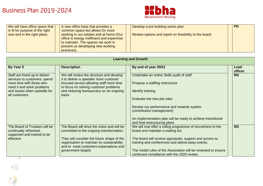

| We will have office space that<br>is fit for purpose of the right | A new office base that provides a<br>common space but allows for more                                                       | Develop a pre building works plan                     | <b>PD</b> |
|-------------------------------------------------------------------|-----------------------------------------------------------------------------------------------------------------------------|-------------------------------------------------------|-----------|
| size and in the right place.                                      | working in our estates and at home (Our<br>office is energy inefficient and expensive<br>to maintain. The spaces we work in | Review options and report on feasibility to the board |           |
|                                                                   | prevent us developing new working<br>practices).                                                                            |                                                       |           |

| <b>Learning and Growth</b>                                    |                                                                                                                                     |                                                                                                              |                 |
|---------------------------------------------------------------|-------------------------------------------------------------------------------------------------------------------------------------|--------------------------------------------------------------------------------------------------------------|-----------------|
| By Year 5                                                     | <b>Description</b>                                                                                                                  | By end of year 20/21                                                                                         | Lead<br>officer |
| Staff are freed up to deliver<br>services to customers: spend | We will review the structure and develop<br>it to deliver a speedier more customer                                                  | Undertake an online Skills audit of staff                                                                    | <b>RD</b>       |
| more time with those who<br>need it and solve problems        | focused service allowing staff more time<br>to focus on solving customer problems                                                   | Propose a staffing restructure                                                                               |                 |
| and issues when speedily for<br>all customers                 | and reducing bureaucracy on an ongoing<br>basis                                                                                     | identify training                                                                                            |                 |
|                                                               |                                                                                                                                     | Evaluate the new job roles                                                                                   |                 |
|                                                               |                                                                                                                                     | Review our performance and rewards system<br>(contribution management)                                       |                 |
|                                                               |                                                                                                                                     | An implementation plan will be ready to achieve transitional<br>and final restructuring plans                |                 |
| The Board of Trustees will be<br>continually refreshed,       | The Board will drive the vision and will be<br>committed to the ongoing transformation.                                             | We will now offer a rolling programme of recruitment to the<br>board and maintain a waiting list.            | <b>RD</b>       |
| supported and trained to be<br>effective                      | They will consider the future shape of the<br>organisation to maintain its sustainability<br>and to meet customers expectations and | The board will receive appraisals, support and access to<br>training and conferences and attend away events. |                 |
|                                                               | government targets                                                                                                                  | The model rules of the Association will be reviewed to ensure<br>continued compliance with the 2020 review.  |                 |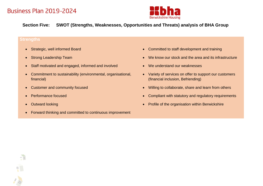



## **Section Five: SWOT (Strengths, Weaknesses, Opportunities and Threats) analysis of BHA Group**

## **Strengths**

- 
- 
- Staff motivated and engaged, informed and involved We understand our weaknesses
- Commitment to sustainability (environmental, organisational, financial)
- 
- 
- 

 $\begin{array}{c|c} \hline \begin{array}{cc} 0 & 0 \\ 0 & 0 \\ 0 & 0 \\ 0 & 0 \\ 0 & 0 \\ \hline \end{array} \end{array}$ 

 $\begin{array}{c} \mathbb{R}^n_+ \\ \mathbb{R}^n_+ \end{array}$ 

Forward thinking and committed to continuous improvement

- Strategic, well informed Board **Committed to staff development and training**
- Strong Leadership Team **We know our stock and the area and its infrastructure** 
	-
	- Variety of services on offer to support our customers (financial inclusion, Befriending)
- Customer and community focused **Willing to collaborate**, share and learn from others
- Performance focused **Compliant With Statutory and regulatory requirements**
- Outward looking **Profile of the organisation within Berwickshire**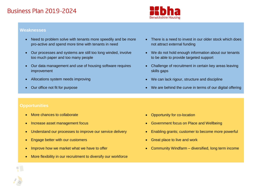

#### **Weaknesses**

- Need to problem solve with tenants more speedily and be more pro-active and spend more time with tenants in need
- Our processes and systems are still too long winded, involve too much paper and too many people
- Our data management and use of housing software requires improvement
- 
- 
- There is a need to invest in our older stock which does not attract external funding
- We do not hold enough information about our tenants to be able to provide targeted support
- Challenge of recruitment in certain key areas leaving skills gaps
- Allocations system needs improving **We can lack rigour, structure and discipline**
- Our office not fit for purpose **We are behind the curve in terms of our digital offering**

## **Opportunities**

- More chances to collaborate **Opportunity for co-location**
- 
- Understand our processes to improve our service delivery Enabling grants; customer to become more powerful
- Engage better with our customers **Great place to live and work Great place to live and work**
- 
- More flexibility in our recruitment to diversify our workforce
- 
- Increase asset management focus **Government focus on Place and Wellbeing Government focus on Place and Wellbeing** 
	-
	-
- Improve how we market what we have to offer **Example 2008** Community Windfarm diversified, long term income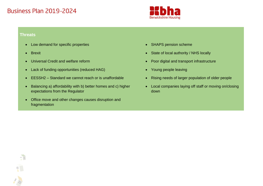

#### **Threats**

 $\frac{1}{\pi\pi}$ 

- Low demand for specific properties **SHAPS EXALL**
- 
- 
- Lack of funding opportunities (reduced HAG) **•** Young people leaving
- EESSH2 Standard we cannot reach or is unaffordable **•** Rising needs of larger population of older people
- Balancing a) affordability with b) better homes and c) higher expectations from the Regulator
- Office move and other changes causes disruption and fragmentation
- 
- Brexit **State of local authority / NHS locally State of local authority / NHS locally**
- Universal Credit and welfare reform **Poor and Transport infrastructure Poor digital and transport infrastructure** 
	-
	-
	- Local companies laying off staff or moving on/closing down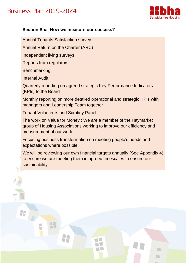



## **Section Six: How we measure our success?**

Annual Tenants Satisfaction survey

Annual Return on the Charter (ARC)

Independent living surveys

Reports from regulators

**Benchmarking** 

Internal Audit

25

Quarterly reporting on agreed strategic Key Performance Indicators (KPIs) to the Board

Monthly reporting on more detailed operational and strategic KPIs with managers and Leadership Team together

Tenant Volunteers and Scrutiny Panel

 $\Box$ 

T

The work on Value for Money : We are a member of the Haymarket group of Housing Associations working to improve our efficiency and measurement of our work

Focusing business transformation on meeting people's needs and expectations where possible

We will be reviewing our own financial targets annually (See Appendix 4) to ensure we are meeting them in agreed timescales to ensure our sustainability.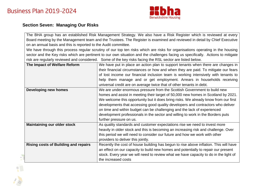

## **Section Seven: Managing Our Risks**

The BHA group has an established Risk Management Strategy. We also have a Risk Register which is reviewed at every Board meeting by the Management team and the Trustees. The Register is examined and reviewed in detail by Chief Executive on an annual basis and this is reported to the Audit committee.

We have through this process regular scrutiny of our top ten risks which are risks for organisations operating in the housing sector and the Key risks which are pertinent to our own situation and the challenges facing us specifically. Actions to mitigate risk are regularly reviewed and considered. Some of the key risks facing the RSL sector are listed below.

| The Impact of Welfare Reform                | We have put in place an action plan to support tenants when there are changes in      |
|---------------------------------------------|---------------------------------------------------------------------------------------|
|                                             | their financial circumstances or how and when they are paid. To mitigate our fears    |
|                                             | of lost income our financial inclusion team is working intensively with tenants to    |
|                                             | help them manage and or get employment. Arrears in households receiving               |
|                                             | universal credit are on average twice that of other tenants in debt.                  |
| <b>Developing new homes</b>                 | We are under enormous pressure from the Scottish Government to build new              |
|                                             | homes and assist in meeting their target of 50,000 new homes in Scotland by 2021.     |
|                                             | We welcome this opportunity but it does bring risks. We already know from our first   |
|                                             | developments that accessing good quality developers and contractors who deliver       |
|                                             | on time and within budget can be challenging and the lack of experienced              |
|                                             | development professionals in the sector and willing to work in the Borders puts       |
|                                             | further pressure on us.                                                               |
| <b>Maintaining our older stock</b>          | As quality standards and customer expectations rise we need to invest more            |
|                                             | heavily in older stock and this is becoming an increasing risk and challenge. Over    |
|                                             | this period we will need to consider our future and how we work with other            |
|                                             | providers to deliver this jointly.                                                    |
| <b>Rising costs of Building and repairs</b> | Recently the cost of house building has begun to rise above inflation. This will have |
|                                             | an effect on our capacity to build new homes and potentially to repair our present    |
|                                             | stock. Every year we will need to review what we have capacity to do in the light of  |
|                                             | the increased costs                                                                   |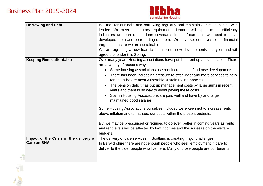1. 14



| <b>Borrowing and Debt</b>                                                              | We monitor our debt and borrowing regularly and maintain our relationships with<br>lenders. We meet all statutory requirements. Lenders will expect to see efficiency<br>indicators are part of our loan covenants in the future and we need to have<br>developed them and be reporting on them. We have set ourselves some financial<br>targets to ensure we are sustainable.<br>We are agreeing a new loan to finance our new developments this year and will<br>agree the lender this Spring.                                                                                                                                                                                                                                                                                                                                                                                                                                     |
|----------------------------------------------------------------------------------------|--------------------------------------------------------------------------------------------------------------------------------------------------------------------------------------------------------------------------------------------------------------------------------------------------------------------------------------------------------------------------------------------------------------------------------------------------------------------------------------------------------------------------------------------------------------------------------------------------------------------------------------------------------------------------------------------------------------------------------------------------------------------------------------------------------------------------------------------------------------------------------------------------------------------------------------|
| <b>Keeping Rents affordable</b>                                                        | Over many years Housing associations have put their rent up above inflation. There<br>are a variety of reasons why:<br>• Some housing associations use rent increases to fund new developments<br>There has been increasing pressure to offer wider and more services to help<br>$\bullet$<br>tenants who are most vulnerable sustain their tenancies.<br>The pension deficit has put up management costs by large sums in recent<br>years and there is no way to avoid paying these costs<br>Staff in Housing Associations are paid well and have by and large<br>maintained good salaries<br>Some Housing Associations ourselves included were keen not to increase rents<br>above inflation and to manage our costs within the present budgets.<br>But we may be pressurised or required to do even better in coming years as rents<br>and rent levels will be affected by low incomes and the squeeze on the welfare<br>budgets. |
| Impact of the Crisis in the delivery of<br><b>Care on BHA</b><br>$\scriptstyle\rm III$ | The delivery of care services in Scotland is creating major challenges.<br>In Berwickshire there are not enough people who seek employment in care to<br>deliver to the older people who live here. Many of those people are our tenants.                                                                                                                                                                                                                                                                                                                                                                                                                                                                                                                                                                                                                                                                                            |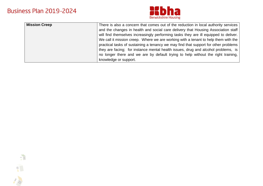

| <b>Mission Creep</b> | There is also a concern that comes out of the reduction in local authority services  |
|----------------------|--------------------------------------------------------------------------------------|
|                      | and the changes in health and social care delivery that Housing Association staff    |
|                      | will find themselves increasingly performing tasks they are ill equipped to deliver. |
|                      | We call it mission creep. Where we are working with a tenant to help them with the   |
|                      | practical tasks of sustaining a tenancy we may find that support for other problems  |
|                      | they are facing; for instance mental health issues, drug and alcohol problems, is    |
|                      | no longer there and we are by default trying to help without the right training,     |
|                      | knowledge or support.                                                                |